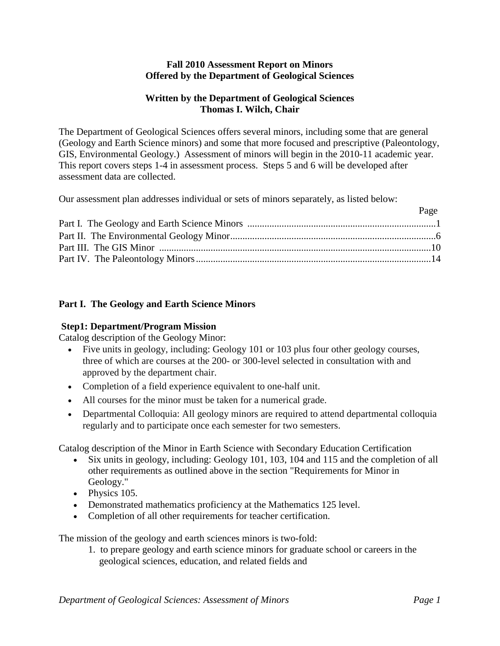### **Fall 2010 Assessment Report on Minors Offered by the Department of Geological Sciences**

## **Written by the Department of Geological Sciences Thomas I. Wilch, Chair**

The Department of Geological Sciences offers several minors, including some that are general (Geology and Earth Science minors) and some that more focused and prescriptive (Paleontology, GIS, Environmental Geology.) Assessment of minors will begin in the 2010-11 academic year. This report covers steps 1-4 in assessment process. Steps 5 and 6 will be developed after assessment data are collected.

Our assessment plan addresses individual or sets of minors separately, as listed below:

| r agu |
|-------|
|       |
|       |
|       |
|       |
|       |

# **Part I. The Geology and Earth Science Minors**

# **Step1: Department/Program Mission**

Catalog description of the Geology Minor:

- Five units in geology, including: Geology 101 or 103 plus four other geology courses, three of which are courses at the 200- or 300-level selected in consultation with and approved by the department chair.
- Completion of a field experience equivalent to one-half unit.
- All courses for the minor must be taken for a numerical grade.
- Departmental Colloquia: All geology minors are required to attend departmental colloquia regularly and to participate once each semester for two semesters.

Catalog description of the Minor in Earth Science with Secondary Education Certification

- Six units in geology, including: Geology 101, 103, 104 and 115 and the completion of all other requirements as outlined above in the section "Requirements for Minor in Geology."
- Physics 105.
- Demonstrated mathematics proficiency at the Mathematics 125 level.
- Completion of all other requirements for teacher certification.

The mission of the geology and earth sciences minors is two-fold:

1. to prepare geology and earth science minors for graduate school or careers in the geological sciences, education, and related fields and

 $D_{\alpha\alpha\alpha}$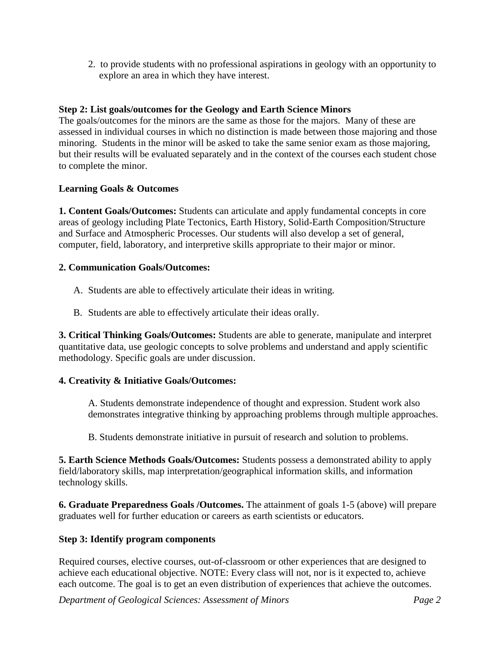2. to provide students with no professional aspirations in geology with an opportunity to explore an area in which they have interest.

# **Step 2: List goals/outcomes for the Geology and Earth Science Minors**

The goals/outcomes for the minors are the same as those for the majors. Many of these are assessed in individual courses in which no distinction is made between those majoring and those minoring. Students in the minor will be asked to take the same senior exam as those majoring, but their results will be evaluated separately and in the context of the courses each student chose to complete the minor.

# **Learning Goals & Outcomes**

**1. Content Goals/Outcomes:** Students can articulate and apply fundamental concepts in core areas of geology including Plate Tectonics, Earth History, Solid-Earth Composition/Structure and Surface and Atmospheric Processes. Our students will also develop a set of general, computer, field, laboratory, and interpretive skills appropriate to their major or minor.

# **2. Communication Goals/Outcomes:**

- A. Students are able to effectively articulate their ideas in writing.
- B. Students are able to effectively articulate their ideas orally.

**3. Critical Thinking Goals/Outcomes:** Students are able to generate, manipulate and interpret quantitative data, use geologic concepts to solve problems and understand and apply scientific methodology. Specific goals are under discussion.

# **4. Creativity & Initiative Goals/Outcomes:**

A. Students demonstrate independence of thought and expression. Student work also demonstrates integrative thinking by approaching problems through multiple approaches.

B. Students demonstrate initiative in pursuit of research and solution to problems.

**5. Earth Science Methods Goals/Outcomes:** Students possess a demonstrated ability to apply field/laboratory skills, map interpretation/geographical information skills, and information technology skills.

**6. Graduate Preparedness Goals /Outcomes.** The attainment of goals 1-5 (above) will prepare graduates well for further education or careers as earth scientists or educators.

# **Step 3: Identify program components**

Required courses, elective courses, out-of-classroom or other experiences that are designed to achieve each educational objective. NOTE: Every class will not, nor is it expected to, achieve each outcome. The goal is to get an even distribution of experiences that achieve the outcomes.

*Department of Geological Sciences: Assessment of Minors Page 2*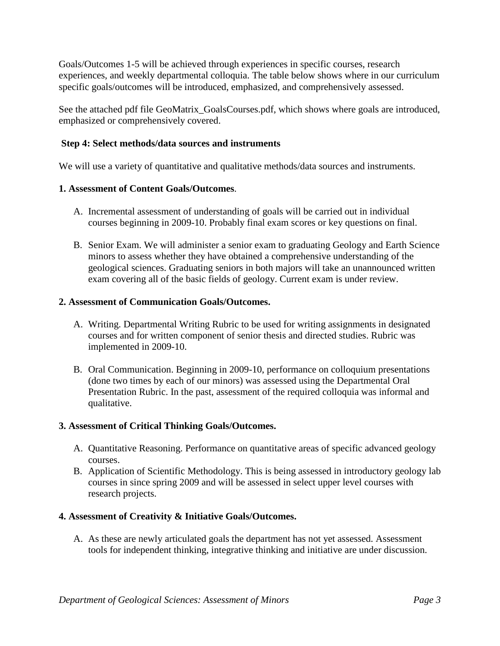Goals/Outcomes 1-5 will be achieved through experiences in specific courses, research experiences, and weekly departmental colloquia. The table below shows where in our curriculum specific goals/outcomes will be introduced, emphasized, and comprehensively assessed.

See the attached pdf file GeoMatrix\_GoalsCourses.pdf, which shows where goals are introduced, emphasized or comprehensively covered.

# **Step 4: Select methods/data sources and instruments**

We will use a variety of quantitative and qualitative methods/data sources and instruments.

### **1. Assessment of Content Goals/Outcomes**.

- A. Incremental assessment of understanding of goals will be carried out in individual courses beginning in 2009-10. Probably final exam scores or key questions on final.
- B. Senior Exam. We will administer a senior exam to graduating Geology and Earth Science minors to assess whether they have obtained a comprehensive understanding of the geological sciences. Graduating seniors in both majors will take an unannounced written exam covering all of the basic fields of geology. Current exam is under review.

### **2. Assessment of Communication Goals/Outcomes.**

- A. Writing. Departmental Writing Rubric to be used for writing assignments in designated courses and for written component of senior thesis and directed studies. Rubric was implemented in 2009-10.
- B. Oral Communication. Beginning in 2009-10, performance on colloquium presentations (done two times by each of our minors) was assessed using the Departmental Oral Presentation Rubric. In the past, assessment of the required colloquia was informal and qualitative.

### **3. Assessment of Critical Thinking Goals/Outcomes.**

- A. Quantitative Reasoning. Performance on quantitative areas of specific advanced geology courses.
- B. Application of Scientific Methodology. This is being assessed in introductory geology lab courses in since spring 2009 and will be assessed in select upper level courses with research projects.

### **4. Assessment of Creativity & Initiative Goals/Outcomes.**

A. As these are newly articulated goals the department has not yet assessed. Assessment tools for independent thinking, integrative thinking and initiative are under discussion.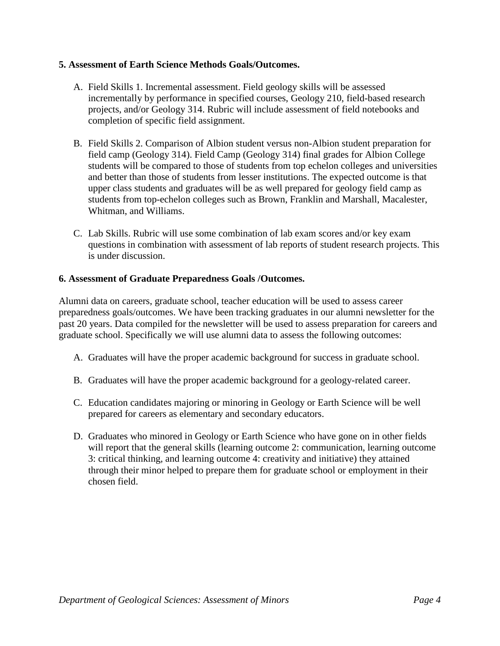## **5. Assessment of Earth Science Methods Goals/Outcomes.**

- A. Field Skills 1. Incremental assessment. Field geology skills will be assessed incrementally by performance in specified courses, Geology 210, field-based research projects, and/or Geology 314. Rubric will include assessment of field notebooks and completion of specific field assignment.
- B. Field Skills 2. Comparison of Albion student versus non-Albion student preparation for field camp (Geology 314). Field Camp (Geology 314) final grades for Albion College students will be compared to those of students from top echelon colleges and universities and better than those of students from lesser institutions. The expected outcome is that upper class students and graduates will be as well prepared for geology field camp as students from top-echelon colleges such as Brown, Franklin and Marshall, Macalester, Whitman, and Williams.
- C. Lab Skills. Rubric will use some combination of lab exam scores and/or key exam questions in combination with assessment of lab reports of student research projects. This is under discussion.

## **6. Assessment of Graduate Preparedness Goals /Outcomes.**

Alumni data on careers, graduate school, teacher education will be used to assess career preparedness goals/outcomes. We have been tracking graduates in our alumni newsletter for the past 20 years. Data compiled for the newsletter will be used to assess preparation for careers and graduate school. Specifically we will use alumni data to assess the following outcomes:

- A. Graduates will have the proper academic background for success in graduate school.
- B. Graduates will have the proper academic background for a geology-related career.
- C. Education candidates majoring or minoring in Geology or Earth Science will be well prepared for careers as elementary and secondary educators.
- D. Graduates who minored in Geology or Earth Science who have gone on in other fields will report that the general skills (learning outcome 2: communication, learning outcome 3: critical thinking, and learning outcome 4: creativity and initiative) they attained through their minor helped to prepare them for graduate school or employment in their chosen field.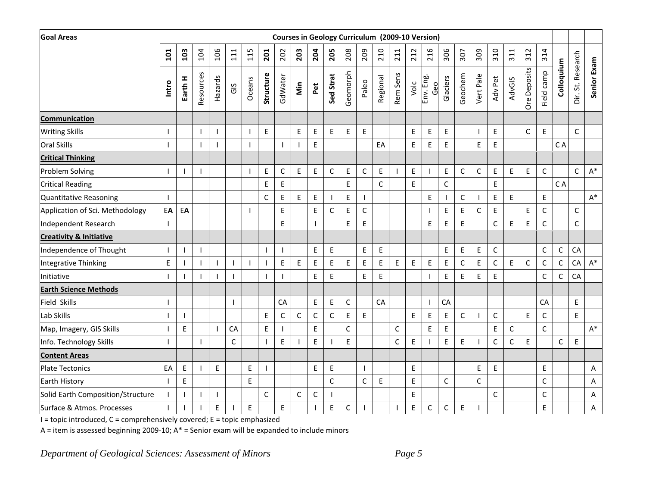| <b>Goal Areas</b>                  |                          |              |                          |             |       |                          |                          |                          |                          |             |              | Courses in Geology Curriculum (2009-10 Version) |              |             |                          |             |                  |             |             |                |              |               |                                            |              |              |                   |                |
|------------------------------------|--------------------------|--------------|--------------------------|-------------|-------|--------------------------|--------------------------|--------------------------|--------------------------|-------------|--------------|-------------------------------------------------|--------------|-------------|--------------------------|-------------|------------------|-------------|-------------|----------------|--------------|---------------|--------------------------------------------|--------------|--------------|-------------------|----------------|
|                                    | 101                      | 103          | 104                      | 106         | $111$ | 115                      | 201                      | 202                      | 203                      | 204         | 205          | 208                                             | 209          | 210         | 211                      | 212         | 216              | 306         | 307         | 309            | 310          | 311           | 312                                        | 314          |              |                   |                |
|                                    | Intro                    | Earth H      | Resources                | Hazards     | GIS   | Oceans                   | Structure                | GdWater                  | Min                      | Pet         | Sed Strat    | Geomorph                                        | Paleo        | Regional    | Rem Sens                 | Volc        | Env. Eng.<br>Geo | Glaciers    | Geochem     | Vert Pale      | Adv Pet      | <b>AdvGIS</b> | <b>Ore Deposits</b>                        | Field camp   | Colloquium   | Dir. St. Research | Senior Exam    |
| <b>Communication</b>               |                          |              |                          |             |       |                          |                          |                          |                          |             |              |                                                 |              |             |                          |             |                  |             |             |                |              |               |                                            |              |              |                   |                |
| <b>Writing Skills</b>              | $\overline{1}$           |              |                          |             |       | -1                       | $\mathsf E$              |                          | $\mathsf E$              | $\mathsf E$ | E            | $\mathsf E$                                     | E            |             |                          | $\sf E$     | E                | $\mathsf E$ |             |                | $\mathsf E$  |               | $\mathsf C$                                | $\mathsf E$  |              | C                 |                |
| <b>Oral Skills</b>                 |                          |              |                          |             |       | $\mathbf{I}$             |                          |                          | $\overline{\phantom{a}}$ | $\mathsf E$ |              |                                                 |              | EA          |                          | E           | E                | $\mathsf E$ |             | E              | $\mathsf E$  |               |                                            |              | C A          |                   |                |
| <b>Critical Thinking</b>           |                          |              |                          |             |       |                          |                          |                          |                          |             |              |                                                 |              |             |                          |             |                  |             |             |                |              |               |                                            |              |              |                   |                |
| Problem Solving                    | $\overline{\phantom{a}}$ |              | $\overline{\phantom{a}}$ |             |       |                          | $\mathsf E$              | $\mathsf C$              | $\mathsf E$              | $\mathsf E$ | $\mathsf C$  | $\mathsf E$                                     | $\mathsf C$  | E           | $\overline{\phantom{a}}$ | $\mathsf E$ |                  | $\mathsf E$ | $\mathsf C$ | $\mathsf C$    | $\mathsf E$  | $\mathsf E$   | E                                          | $\mathsf C$  |              | $\mathsf C$       | $\mathsf{A}^*$ |
| <b>Critical Reading</b>            |                          |              |                          |             |       |                          | $\sf E$                  | E                        |                          |             |              | $\mathsf E$                                     |              | $\mathsf C$ |                          | E           |                  | $\mathsf C$ |             |                | $\mathsf E$  |               |                                            |              | C A          |                   |                |
| Quantitative Reasoning             | $\mathbf{I}$             |              |                          |             |       |                          | $\mathsf C$              | $\mathsf E$              | $\mathsf E$              | $\mathsf E$ | $\mathbf{I}$ | $\mathsf E$                                     | $\mathbf{I}$ |             |                          |             | E                |             | $\mathsf C$ | $\overline{1}$ | $\mathsf E$  | $\mathsf E$   |                                            | $\mathsf E$  |              |                   | $A^*$          |
| Application of Sci. Methodology    | EA                       | EA           |                          |             |       |                          |                          | E                        |                          | $\mathsf E$ | C            | $\mathsf E$                                     | $\mathsf C$  |             |                          |             |                  | $\mathsf E$ | $\mathsf E$ | $\mathsf C$    | $\mathsf E$  |               | E                                          | $\mathsf C$  |              | C                 |                |
| Independent Research               | $\mathbf{I}$             |              |                          |             |       |                          |                          | E                        |                          |             |              | $\mathsf E$                                     | E            |             |                          |             | E                | $\mathsf E$ | E           |                | $\mathsf C$  | E             | E                                          | $\mathsf{C}$ |              | $\mathsf{C}$      |                |
| <b>Creativity &amp; Initiative</b> |                          |              |                          |             |       |                          |                          |                          |                          |             |              |                                                 |              |             |                          |             |                  |             |             |                |              |               |                                            |              |              |                   |                |
| Independence of Thought            | $\mathbf{I}$             |              |                          |             |       |                          | $\overline{\phantom{a}}$ | $\overline{\phantom{a}}$ |                          | $\mathsf E$ | E            |                                                 | E            | E           |                          |             |                  | $\mathsf E$ | $\mathsf E$ | E              | $\mathsf C$  |               |                                            | $\mathsf C$  | $\mathsf C$  | CA                |                |
| <b>Integrative Thinking</b>        | $\mathsf E$              |              |                          |             |       | $\overline{\phantom{a}}$ | $\overline{1}$           | $\sf E$                  | $\mathsf E$              | $\sf E$     | E            | $\mathsf E$                                     | $\sf E$      | E           | $\mathsf E$              | $\mathsf E$ | E                | $\mathsf E$ | $\mathsf C$ | E              | $\mathsf C$  | $\mathsf E$   | $\mathsf C$                                | $\mathsf C$  | $\mathsf C$  | CA                | $A^*$          |
| Initiative                         |                          |              |                          |             |       |                          | T                        |                          |                          | E           | E            |                                                 | E            | E           |                          |             |                  | $\mathsf E$ | $\mathsf E$ | E              | $\mathsf E$  |               |                                            | $\mathsf C$  | $\mathsf{C}$ | CA                |                |
| <b>Earth Science Methods</b>       |                          |              |                          |             |       |                          |                          |                          |                          |             |              |                                                 |              |             |                          |             |                  |             |             |                |              |               |                                            |              |              |                   |                |
| <b>Field Skills</b>                | $\overline{1}$           |              |                          |             |       |                          |                          | CA                       |                          | E           | E            | $\mathsf C$                                     |              | CA          |                          |             |                  | CA          |             |                |              |               |                                            | CA           |              | $\mathsf E$       |                |
| Lab Skills                         | $\mathbf{I}$             | $\mathbf{I}$ |                          |             |       |                          | $\mathsf E$              | $\mathsf C$              | $\mathsf{C}$             | $\mathsf C$ | $\mathsf C$  | E                                               | E            |             |                          | $\mathsf E$ | E                | $\mathsf E$ | $\mathsf C$ |                | $\mathsf{C}$ |               | $\mathsf{E}% _{0}\left( \mathsf{E}\right)$ | $\mathsf{C}$ |              | E                 |                |
| Map, Imagery, GIS Skills           | $\mathbf{I}$             | E            |                          |             | CA    |                          | $\mathsf E$              |                          |                          | $\mathsf E$ |              | $\mathsf C$                                     |              |             | $\mathsf{C}$             |             | E                | $\mathsf E$ |             |                | $\mathsf E$  | $\mathsf C$   |                                            | $\mathsf{C}$ |              |                   | $A^*$          |
| Info. Technology Skills            |                          |              |                          |             | C     |                          | $\overline{1}$           | E                        |                          | E           |              | E                                               |              |             | $\mathsf{C}$             | E           |                  | E           | E           |                | $\mathsf{C}$ | $\mathsf C$   | $\mathsf E$                                |              | $\mathsf{C}$ | E                 |                |
| <b>Content Areas</b>               |                          |              |                          |             |       |                          |                          |                          |                          |             |              |                                                 |              |             |                          |             |                  |             |             |                |              |               |                                            |              |              |                   |                |
| <b>Plate Tectonics</b>             | EA                       | $\mathsf E$  |                          | $\mathsf E$ |       | $\sf E$                  | $\overline{1}$           |                          |                          | E           | E            |                                                 |              |             |                          | E           |                  |             |             | E              | $\mathsf E$  |               |                                            | $\mathsf E$  |              |                   | A              |
| Earth History                      | $\mathbf{I}$             | E            |                          |             |       | E                        |                          |                          |                          |             | $\mathsf C$  |                                                 | $\mathsf C$  | E           |                          | $\mathsf E$ |                  | $\mathsf C$ |             | $\mathsf C$    |              |               |                                            | $\mathsf C$  |              |                   | Α              |
| Solid Earth Composition/Structure  |                          |              |                          |             |       |                          | $\mathsf C$              |                          | $\mathsf{C}$             | $\mathsf C$ |              |                                                 |              |             |                          | E           |                  |             |             |                | $\mathsf C$  |               |                                            | $\mathsf{C}$ |              |                   | Α              |
| Surface & Atmos. Processes         | $\mathsf{I}$             |              |                          | E           |       | $\mathsf E$              |                          | E                        |                          |             | E            | $\mathsf C$                                     |              |             |                          | $\mathsf E$ | C                | $\mathsf C$ | E           |                |              |               |                                            | E            |              |                   | Α              |

 $I =$  topic introduced,  $C =$  comprehensively covered;  $E =$  topic emphasized

A = item is assessed beginning 2009-10;  $A^*$  = Senior exam will be expanded to include minors

*Department of Geological Sciences: Assessment of Minors Page 5*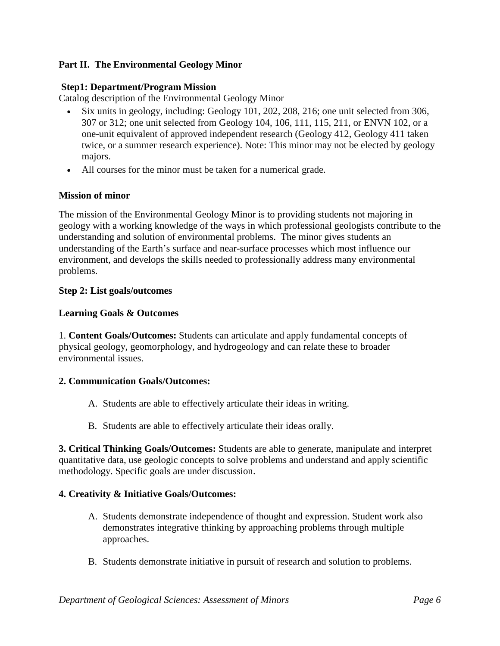# **Part II. The Environmental Geology Minor**

### **Step1: Department/Program Mission**

Catalog description of the Environmental Geology Minor

- Six units in geology, including: Geology 101, 202, 208, 216; one unit selected from 306, 307 or 312; one unit selected from Geology 104, 106, 111, 115, 211, or ENVN 102, or a one-unit equivalent of approved independent research (Geology 412, Geology 411 taken twice, or a summer research experience). Note: This minor may not be elected by geology majors.
- All courses for the minor must be taken for a numerical grade.

#### **Mission of minor**

The mission of the Environmental Geology Minor is to providing students not majoring in geology with a working knowledge of the ways in which professional geologists contribute to the understanding and solution of environmental problems. The minor gives students an understanding of the Earth's surface and near-surface processes which most influence our environment, and develops the skills needed to professionally address many environmental problems.

#### **Step 2: List goals/outcomes**

#### **Learning Goals & Outcomes**

1. **Content Goals/Outcomes:** Students can articulate and apply fundamental concepts of physical geology, geomorphology, and hydrogeology and can relate these to broader environmental issues.

### **2. Communication Goals/Outcomes:**

- A. Students are able to effectively articulate their ideas in writing.
- B. Students are able to effectively articulate their ideas orally.

**3. Critical Thinking Goals/Outcomes:** Students are able to generate, manipulate and interpret quantitative data, use geologic concepts to solve problems and understand and apply scientific methodology. Specific goals are under discussion.

### **4. Creativity & Initiative Goals/Outcomes:**

- A. Students demonstrate independence of thought and expression. Student work also demonstrates integrative thinking by approaching problems through multiple approaches.
- B. Students demonstrate initiative in pursuit of research and solution to problems.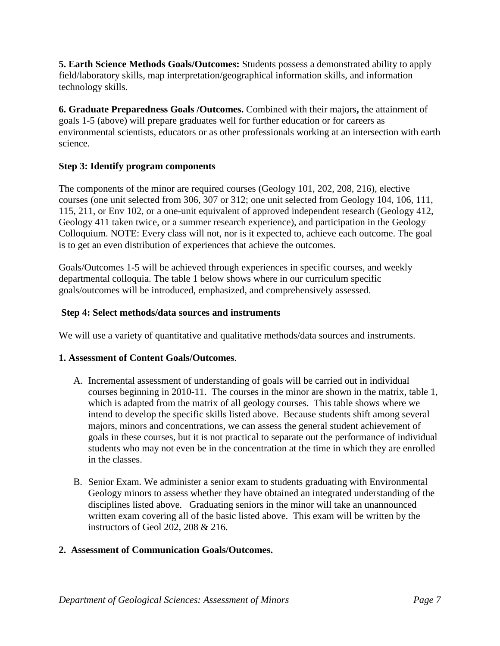**5. Earth Science Methods Goals/Outcomes:** Students possess a demonstrated ability to apply field/laboratory skills, map interpretation/geographical information skills, and information technology skills.

**6. Graduate Preparedness Goals /Outcomes.** Combined with their majors**,** the attainment of goals 1-5 (above) will prepare graduates well for further education or for careers as environmental scientists, educators or as other professionals working at an intersection with earth science.

# **Step 3: Identify program components**

The components of the minor are required courses (Geology 101, 202, 208, 216), elective courses (one unit selected from 306, 307 or 312; one unit selected from Geology 104, 106, 111, 115, 211, or Env 102, or a one-unit equivalent of approved independent research (Geology 412, Geology 411 taken twice, or a summer research experience), and participation in the Geology Colloquium. NOTE: Every class will not, nor is it expected to, achieve each outcome. The goal is to get an even distribution of experiences that achieve the outcomes.

Goals/Outcomes 1-5 will be achieved through experiences in specific courses, and weekly departmental colloquia. The table 1 below shows where in our curriculum specific goals/outcomes will be introduced, emphasized, and comprehensively assessed.

# **Step 4: Select methods/data sources and instruments**

We will use a variety of quantitative and qualitative methods/data sources and instruments.

### **1. Assessment of Content Goals/Outcomes**.

- A. Incremental assessment of understanding of goals will be carried out in individual courses beginning in 2010-11. The courses in the minor are shown in the matrix, table 1, which is adapted from the matrix of all geology courses. This table shows where we intend to develop the specific skills listed above. Because students shift among several majors, minors and concentrations, we can assess the general student achievement of goals in these courses, but it is not practical to separate out the performance of individual students who may not even be in the concentration at the time in which they are enrolled in the classes.
- B. Senior Exam. We administer a senior exam to students graduating with Environmental Geology minors to assess whether they have obtained an integrated understanding of the disciplines listed above. Graduating seniors in the minor will take an unannounced written exam covering all of the basic listed above. This exam will be written by the instructors of Geol 202, 208 & 216.

# **2. Assessment of Communication Goals/Outcomes.**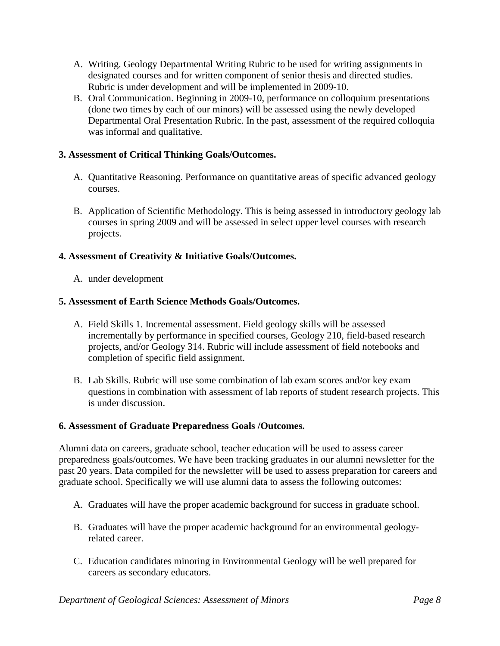- A. Writing. Geology Departmental Writing Rubric to be used for writing assignments in designated courses and for written component of senior thesis and directed studies. Rubric is under development and will be implemented in 2009-10.
- B. Oral Communication. Beginning in 2009-10, performance on colloquium presentations (done two times by each of our minors) will be assessed using the newly developed Departmental Oral Presentation Rubric. In the past, assessment of the required colloquia was informal and qualitative.

# **3. Assessment of Critical Thinking Goals/Outcomes.**

- A. Quantitative Reasoning. Performance on quantitative areas of specific advanced geology courses.
- B. Application of Scientific Methodology. This is being assessed in introductory geology lab courses in spring 2009 and will be assessed in select upper level courses with research projects.

# **4. Assessment of Creativity & Initiative Goals/Outcomes.**

A. under development

# **5. Assessment of Earth Science Methods Goals/Outcomes.**

- A. Field Skills 1. Incremental assessment. Field geology skills will be assessed incrementally by performance in specified courses, Geology 210, field-based research projects, and/or Geology 314. Rubric will include assessment of field notebooks and completion of specific field assignment.
- B. Lab Skills. Rubric will use some combination of lab exam scores and/or key exam questions in combination with assessment of lab reports of student research projects. This is under discussion.

# **6. Assessment of Graduate Preparedness Goals /Outcomes.**

Alumni data on careers, graduate school, teacher education will be used to assess career preparedness goals/outcomes. We have been tracking graduates in our alumni newsletter for the past 20 years. Data compiled for the newsletter will be used to assess preparation for careers and graduate school. Specifically we will use alumni data to assess the following outcomes:

- A. Graduates will have the proper academic background for success in graduate school.
- B. Graduates will have the proper academic background for an environmental geologyrelated career.
- C. Education candidates minoring in Environmental Geology will be well prepared for careers as secondary educators.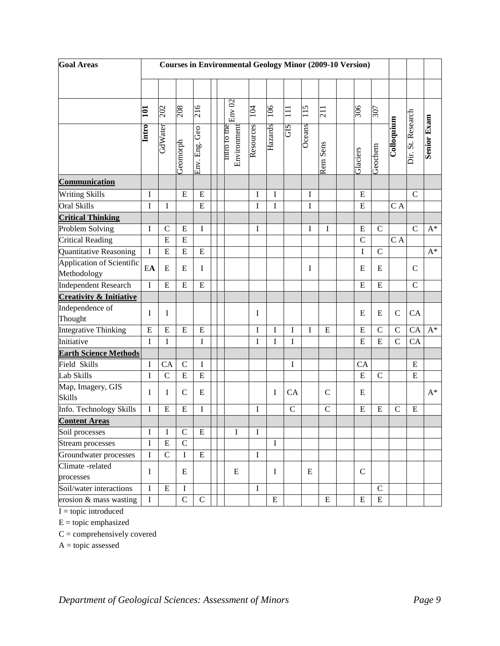| <b>Goal Areas</b>                        | <b>Courses in Environmental Geology Minor (2009-10 Version)</b> |               |               |                     |  |                             |             |             |               |        |               |  |              |               |                |                   |                    |
|------------------------------------------|-----------------------------------------------------------------|---------------|---------------|---------------------|--|-----------------------------|-------------|-------------|---------------|--------|---------------|--|--------------|---------------|----------------|-------------------|--------------------|
|                                          |                                                                 |               |               |                     |  |                             |             |             |               |        |               |  |              |               |                |                   |                    |
|                                          | 101                                                             | 202           | 208           | 216                 |  | Env 02                      | 104         | 106         | $\Xi$         | 115    | 211           |  | 306          | 307           |                |                   |                    |
|                                          | Intro                                                           | GdWater       | Geomorph      | $G$ eo<br>Env. Eng. |  | Intro to the<br>Environment | Resources   | Hazards     | SIÐ           | Oceans | Rem Sens      |  | Glaciers     | Geochem       | Colloquium     | Dir. St. Research | <b>Senior Exam</b> |
| Communication                            |                                                                 |               |               |                     |  |                             |             |             |               |        |               |  |              |               |                |                   |                    |
| Writing Skills                           | $\rm I$                                                         |               | $\mathbf E$   | ${\bf E}$           |  |                             | $\bf I$     | $\mathbf I$ |               | I      |               |  | ${\bf E}$    |               |                | $\mathcal{C}$     |                    |
| Oral Skills                              | I                                                               | I             |               | E                   |  |                             | $\bf I$     | I           |               | I      |               |  | ${\bf E}$    |               | C A            |                   |                    |
| <b>Critical Thinking</b>                 |                                                                 |               |               |                     |  |                             |             |             |               |        |               |  |              |               |                |                   |                    |
| Problem Solving                          | I                                                               | $\mathcal{C}$ | $\mathbf E$   | I                   |  |                             | I           |             |               | I      | I             |  | ${\bf E}$    | $\mathbf C$   |                | $\mathcal{C}$     | $\mathbf{A}^*$     |
| <b>Critical Reading</b>                  |                                                                 | E             | E             |                     |  |                             |             |             |               |        |               |  | $\mathsf{C}$ |               | C A            |                   |                    |
| Quantitative Reasoning                   | $\mathbf I$                                                     | E             | E             | ${\bf E}$           |  |                             |             |             |               |        |               |  | $\mathbf I$  | $\mathsf{C}$  |                |                   | $A^*$              |
| Application of Scientific<br>Methodology | EA                                                              | E             | E             | $\bf I$             |  |                             |             |             |               | I      |               |  | E            | E             |                | $\mathbf C$       |                    |
| <b>Independent Research</b>              | I                                                               | E             | E             | E                   |  |                             |             |             |               |        |               |  | E            | ${\bf E}$     |                | $\overline{C}$    |                    |
| <b>Creativity &amp; Initiative</b>       |                                                                 |               |               |                     |  |                             |             |             |               |        |               |  |              |               |                |                   |                    |
| Independence of<br>Thought               | I                                                               | I             |               |                     |  |                             | I           |             |               |        |               |  | E            | E             | $\mathbf C$    | CA                |                    |
| <b>Integrative Thinking</b>              | $\mathbf E$                                                     | E             | E             | ${\bf E}$           |  |                             | I           | $\mathbf I$ | I             | I      | E             |  | E            | $\mathcal{C}$ | $\mathcal{C}$  | CA                | $A^*$              |
| Initiative                               | I                                                               | I             |               | I                   |  |                             | I           | I           | I             |        |               |  | E            | ${\bf E}$     | $\overline{C}$ | CA                |                    |
| <b>Earth Science Methods</b>             |                                                                 |               |               |                     |  |                             |             |             |               |        |               |  |              |               |                |                   |                    |
| Field Skills                             | I                                                               | CA            | $\mathbf C$   | I                   |  |                             |             |             | I             |        |               |  | CA           |               |                | ${\bf E}$         |                    |
| Lab Skills                               | I                                                               | $\mathbf C$   | E             | ${\bf E}$           |  |                             |             |             |               |        |               |  | ${\bf E}$    | $\mathsf{C}$  |                | ${\bf E}$         |                    |
| Map, Imagery, GIS<br>Skills              | I                                                               | I             | $\mathcal{C}$ | ${\bf E}$           |  |                             |             | I           | CA            |        | $\mathcal{C}$ |  | E            |               |                |                   | $A^*$              |
| Info. Technology Skills                  | $\mathbf I$                                                     | E             | E             | $\mathbf I$         |  |                             | I           |             | $\mathcal{C}$ |        | $\mathcal{C}$ |  | E            | E             | $\mathcal{C}$  | ${\bf E}$         |                    |
| <b>Content Areas</b>                     |                                                                 |               |               |                     |  |                             |             |             |               |        |               |  |              |               |                |                   |                    |
| Soil processes                           | Ι                                                               | I             | $\mathsf{C}$  | E                   |  | I                           | I           |             |               |        |               |  |              |               |                |                   |                    |
| Stream processes                         | $\mathbf I$                                                     | ${\bf E}$     | $\mathbf C$   |                     |  |                             |             | $\mathbf I$ |               |        |               |  |              |               |                |                   |                    |
| Groundwater processes                    | Ι                                                               | $\mathbf C$   | $\mathbf I$   | ${\bf E}$           |  |                             | I           |             |               |        |               |  |              |               |                |                   |                    |
| Climate -related<br>processes            | $\mathbf I$                                                     |               | E             |                     |  | E                           |             | $\mathbf I$ |               | E      |               |  | $\mathbf C$  |               |                |                   |                    |
| Soil/water interactions                  | $\bf I$                                                         | $\mathbf E$   | $\bf I$       |                     |  |                             | $\mathbf I$ |             |               |        |               |  |              | $\mathbf C$   |                |                   |                    |
| erosion & mass wasting                   | I                                                               |               | $\mathbf C$   | $\mathbf C$         |  |                             |             | ${\bf E}$   |               |        | E             |  | E            | ${\bf E}$     |                |                   |                    |

 $I = topic introduced$ 

 $E =$ topic emphasized

 $C =$  comprehensively covered

 $A = topic$  assessed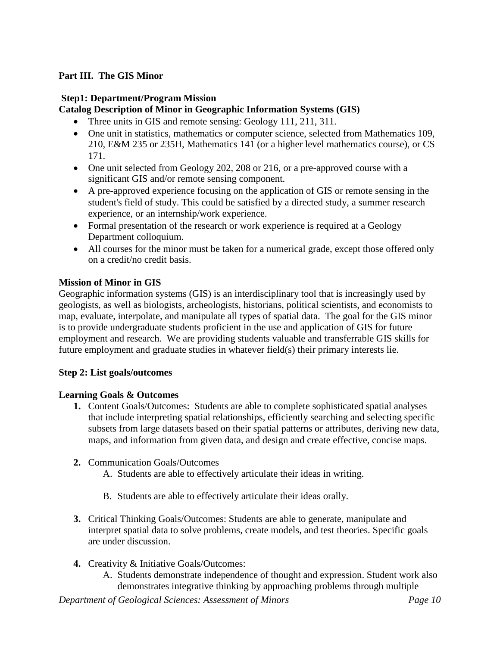# **Part III. The GIS Minor**

### **Step1: Department/Program Mission**

## **Catalog Description of Minor in Geographic Information Systems (GIS)**

- Three units in GIS and remote sensing: Geology 111, 211, 311.
- One unit in statistics, mathematics or computer science, selected from Mathematics 109, 210, E&M 235 or 235H, Mathematics 141 (or a higher level mathematics course), or CS 171.
- One unit selected from Geology 202, 208 or 216, or a pre-approved course with a significant GIS and/or remote sensing component.
- A pre-approved experience focusing on the application of GIS or remote sensing in the student's field of study. This could be satisfied by a directed study, a summer research experience, or an internship/work experience.
- Formal presentation of the research or work experience is required at a Geology Department colloquium.
- All courses for the minor must be taken for a numerical grade, except those offered only on a credit/no credit basis.

## **Mission of Minor in GIS**

Geographic information systems (GIS) is an interdisciplinary tool that is increasingly used by geologists, as well as biologists, archeologists, historians, political scientists, and economists to map, evaluate, interpolate, and manipulate all types of spatial data. The goal for the GIS minor is to provide undergraduate students proficient in the use and application of GIS for future employment and research. We are providing students valuable and transferrable GIS skills for future employment and graduate studies in whatever field(s) their primary interests lie.

### **Step 2: List goals/outcomes**

### **Learning Goals & Outcomes**

- **1.** Content Goals/Outcomes: Students are able to complete sophisticated spatial analyses that include interpreting spatial relationships, efficiently searching and selecting specific subsets from large datasets based on their spatial patterns or attributes, deriving new data, maps, and information from given data, and design and create effective, concise maps.
- **2.** Communication Goals/Outcomes
	- A. Students are able to effectively articulate their ideas in writing.
	- B. Students are able to effectively articulate their ideas orally.
- **3.** Critical Thinking Goals/Outcomes: Students are able to generate, manipulate and interpret spatial data to solve problems, create models, and test theories. Specific goals are under discussion.
- **4.** Creativity & Initiative Goals/Outcomes:
	- A. Students demonstrate independence of thought and expression. Student work also demonstrates integrative thinking by approaching problems through multiple

*Department of Geological Sciences: Assessment of Minors Page 10*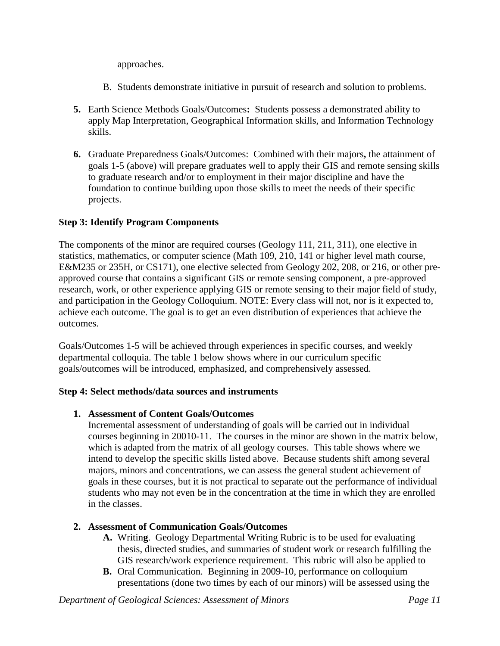approaches.

- B. Students demonstrate initiative in pursuit of research and solution to problems.
- **5.** Earth Science Methods Goals/Outcomes**:** Students possess a demonstrated ability to apply Map Interpretation, Geographical Information skills, and Information Technology skills.
- **6.** Graduate Preparedness Goals/Outcomes: Combined with their majors**,** the attainment of goals 1-5 (above) will prepare graduates well to apply their GIS and remote sensing skills to graduate research and/or to employment in their major discipline and have the foundation to continue building upon those skills to meet the needs of their specific projects.

# **Step 3: Identify Program Components**

The components of the minor are required courses (Geology 111, 211, 311), one elective in statistics, mathematics, or computer science (Math 109, 210, 141 or higher level math course, E&M235 or 235H, or CS171), one elective selected from Geology 202, 208, or 216, or other preapproved course that contains a significant GIS or remote sensing component, a pre-approved research, work, or other experience applying GIS or remote sensing to their major field of study, and participation in the Geology Colloquium. NOTE: Every class will not, nor is it expected to, achieve each outcome. The goal is to get an even distribution of experiences that achieve the outcomes.

Goals/Outcomes 1-5 will be achieved through experiences in specific courses, and weekly departmental colloquia. The table 1 below shows where in our curriculum specific goals/outcomes will be introduced, emphasized, and comprehensively assessed.

# **Step 4: Select methods/data sources and instruments**

### **1. Assessment of Content Goals/Outcomes**

Incremental assessment of understanding of goals will be carried out in individual courses beginning in 20010-11. The courses in the minor are shown in the matrix below, which is adapted from the matrix of all geology courses. This table shows where we intend to develop the specific skills listed above. Because students shift among several majors, minors and concentrations, we can assess the general student achievement of goals in these courses, but it is not practical to separate out the performance of individual students who may not even be in the concentration at the time in which they are enrolled in the classes.

# **2. Assessment of Communication Goals/Outcomes**

- **A.** Writin**g**. Geology Departmental Writing Rubric is to be used for evaluating thesis, directed studies, and summaries of student work or research fulfilling the GIS research/work experience requirement. This rubric will also be applied to
- **B.** Oral Communication. Beginning in 2009-10, performance on colloquium presentations (done two times by each of our minors) will be assessed using the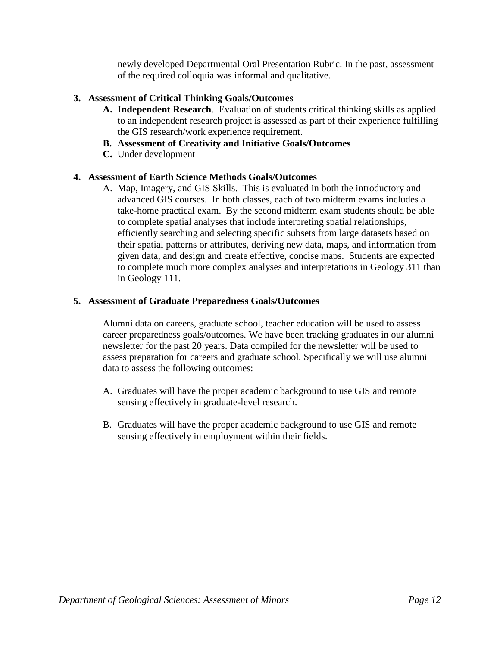newly developed Departmental Oral Presentation Rubric. In the past, assessment of the required colloquia was informal and qualitative.

# **3. Assessment of Critical Thinking Goals/Outcomes**

- **A. Independent Research**. Evaluation of students critical thinking skills as applied to an independent research project is assessed as part of their experience fulfilling the GIS research/work experience requirement.
- **B. Assessment of Creativity and Initiative Goals/Outcomes**
- **C.** Under development

## **4. Assessment of Earth Science Methods Goals/Outcomes**

A. Map, Imagery, and GIS Skills. This is evaluated in both the introductory and advanced GIS courses. In both classes, each of two midterm exams includes a take-home practical exam. By the second midterm exam students should be able to complete spatial analyses that include interpreting spatial relationships, efficiently searching and selecting specific subsets from large datasets based on their spatial patterns or attributes, deriving new data, maps, and information from given data, and design and create effective, concise maps. Students are expected to complete much more complex analyses and interpretations in Geology 311 than in Geology 111.

### **5. Assessment of Graduate Preparedness Goals/Outcomes**

Alumni data on careers, graduate school, teacher education will be used to assess career preparedness goals/outcomes. We have been tracking graduates in our alumni newsletter for the past 20 years. Data compiled for the newsletter will be used to assess preparation for careers and graduate school. Specifically we will use alumni data to assess the following outcomes:

- A. Graduates will have the proper academic background to use GIS and remote sensing effectively in graduate-level research.
- B. Graduates will have the proper academic background to use GIS and remote sensing effectively in employment within their fields.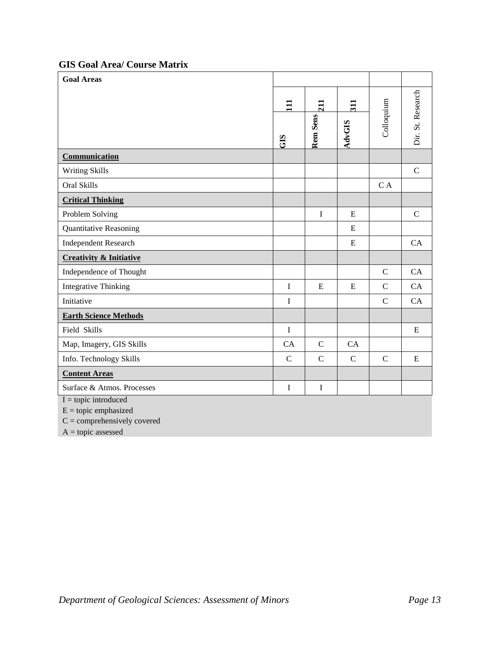# **GIS Goal Area/ Course Matrix**

| <b>Goal Areas</b>                                |               |               |               |                |                   |
|--------------------------------------------------|---------------|---------------|---------------|----------------|-------------------|
|                                                  | $\Xi$         | 211           | 311           |                |                   |
|                                                  | GIS           | Rem Sens      | <b>AdvGIS</b> | Colloquium     | Dir. St. Research |
| Communication                                    |               |               |               |                |                   |
| <b>Writing Skills</b>                            |               |               |               |                | $\mathsf{C}$      |
| Oral Skills                                      |               |               |               | C A            |                   |
| <b>Critical Thinking</b>                         |               |               |               |                |                   |
| Problem Solving                                  |               | $\mathbf I$   | E             |                | $\mathcal{C}$     |
| <b>Quantitative Reasoning</b>                    |               |               | E             |                |                   |
| <b>Independent Research</b>                      |               |               | E             |                | <b>CA</b>         |
| <b>Creativity &amp; Initiative</b>               |               |               |               |                |                   |
| Independence of Thought                          |               |               |               | $\mathbf C$    | CA                |
| <b>Integrative Thinking</b>                      | $\bf I$       | ${\bf E}$     | E             | $\mathbf C$    | CA                |
| Initiative                                       | I             |               |               | $\mathbf C$    | CA                |
| <b>Earth Science Methods</b>                     |               |               |               |                |                   |
| Field Skills                                     | $\bf I$       |               |               |                | E                 |
| Map, Imagery, GIS Skills                         | CA            | $\mathcal{C}$ | <b>CA</b>     |                |                   |
| Info. Technology Skills                          | $\mathcal{C}$ | $\mathbf C$   | $\mathsf{C}$  | $\overline{C}$ | ${\bf E}$         |
| <b>Content Areas</b>                             |               |               |               |                |                   |
| Surface & Atmos. Processes                       | $\mathbf I$   | $\bf I$       |               |                |                   |
| $I = topic introduced$<br>$E =$ topic emphasized |               |               |               |                |                   |

 $C =$  comprehensively covered

 $A = topic$  assessed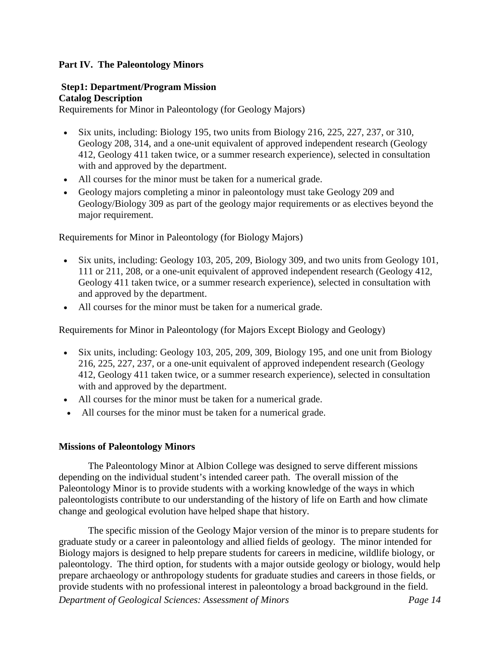### **Part IV. The Paleontology Minors**

# **Step1: Department/Program Mission Catalog Description**

Requirements for Minor in Paleontology (for Geology Majors)

- Six units, including: Biology 195, two units from Biology 216, 225, 227, 237, or 310, Geology 208, 314, and a one-unit equivalent of approved independent research (Geology 412, Geology 411 taken twice, or a summer research experience), selected in consultation with and approved by the department.
- All courses for the minor must be taken for a numerical grade.
- Geology majors completing a minor in paleontology must take Geology 209 and Geology/Biology 309 as part of the geology major requirements or as electives beyond the major requirement.

Requirements for Minor in Paleontology (for Biology Majors)

- Six units, including: Geology 103, 205, 209, Biology 309, and two units from Geology 101, 111 or 211, 208, or a one-unit equivalent of approved independent research (Geology 412, Geology 411 taken twice, or a summer research experience), selected in consultation with and approved by the department.
- All courses for the minor must be taken for a numerical grade.

Requirements for Minor in Paleontology (for Majors Except Biology and Geology)

- Six units, including: Geology 103, 205, 209, 309, Biology 195, and one unit from Biology 216, 225, 227, 237, or a one-unit equivalent of approved independent research (Geology 412, Geology 411 taken twice, or a summer research experience), selected in consultation with and approved by the department.
- All courses for the minor must be taken for a numerical grade.
- All courses for the minor must be taken for a numerical grade.

### **Missions of Paleontology Minors**

The Paleontology Minor at Albion College was designed to serve different missions depending on the individual student's intended career path. The overall mission of the Paleontology Minor is to provide students with a working knowledge of the ways in which paleontologists contribute to our understanding of the history of life on Earth and how climate change and geological evolution have helped shape that history.

*Department of Geological Sciences: Assessment of Minors Page 14* The specific mission of the Geology Major version of the minor is to prepare students for graduate study or a career in paleontology and allied fields of geology. The minor intended for Biology majors is designed to help prepare students for careers in medicine, wildlife biology, or paleontology. The third option, for students with a major outside geology or biology, would help prepare archaeology or anthropology students for graduate studies and careers in those fields, or provide students with no professional interest in paleontology a broad background in the field.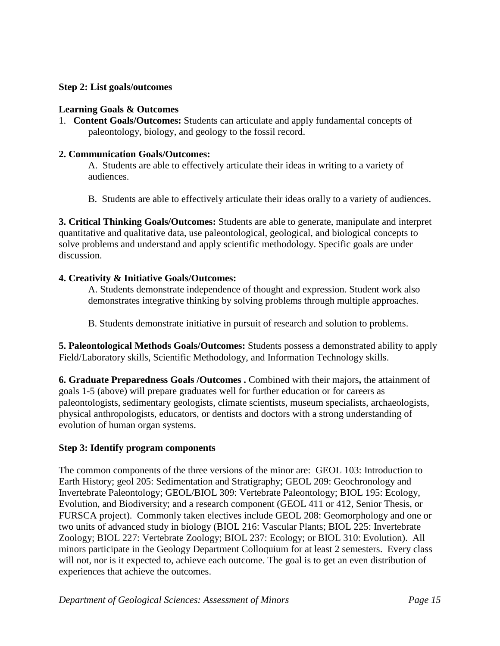### **Step 2: List goals/outcomes**

### **Learning Goals & Outcomes**

1. **Content Goals/Outcomes:** Students can articulate and apply fundamental concepts of paleontology, biology, and geology to the fossil record.

### **2. Communication Goals/Outcomes:**

A.Students are able to effectively articulate their ideas in writing to a variety of audiences.

B. Students are able to effectively articulate their ideas orally to a variety of audiences.

**3. Critical Thinking Goals/Outcomes:** Students are able to generate, manipulate and interpret quantitative and qualitative data, use paleontological, geological, and biological concepts to solve problems and understand and apply scientific methodology. Specific goals are under discussion.

## **4. Creativity & Initiative Goals/Outcomes:**

A. Students demonstrate independence of thought and expression. Student work also demonstrates integrative thinking by solving problems through multiple approaches.

B. Students demonstrate initiative in pursuit of research and solution to problems.

**5. Paleontological Methods Goals/Outcomes:** Students possess a demonstrated ability to apply Field/Laboratory skills, Scientific Methodology, and Information Technology skills.

**6. Graduate Preparedness Goals /Outcomes .** Combined with their majors**,** the attainment of goals 1-5 (above) will prepare graduates well for further education or for careers as paleontologists, sedimentary geologists, climate scientists, museum specialists, archaeologists, physical anthropologists, educators, or dentists and doctors with a strong understanding of evolution of human organ systems.

# **Step 3: Identify program components**

The common components of the three versions of the minor are: GEOL 103: Introduction to Earth History; geol 205: Sedimentation and Stratigraphy; GEOL 209: Geochronology and Invertebrate Paleontology; GEOL/BIOL 309: Vertebrate Paleontology; BIOL 195: Ecology, Evolution, and Biodiversity; and a research component (GEOL 411 or 412, Senior Thesis, or FURSCA project). Commonly taken electives include GEOL 208: Geomorphology and one or two units of advanced study in biology (BIOL 216: Vascular Plants; BIOL 225: Invertebrate Zoology; BIOL 227: Vertebrate Zoology; BIOL 237: Ecology; or BIOL 310: Evolution). All minors participate in the Geology Department Colloquium for at least 2 semesters. Every class will not, nor is it expected to, achieve each outcome. The goal is to get an even distribution of experiences that achieve the outcomes.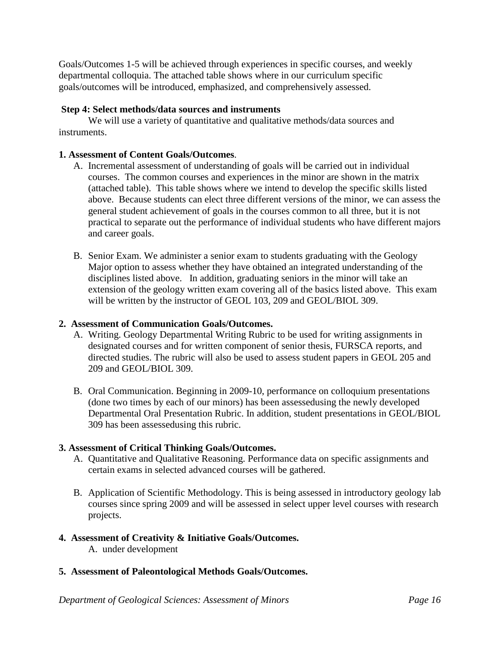Goals/Outcomes 1-5 will be achieved through experiences in specific courses, and weekly departmental colloquia. The attached table shows where in our curriculum specific goals/outcomes will be introduced, emphasized, and comprehensively assessed.

## **Step 4: Select methods/data sources and instruments**

We will use a variety of quantitative and qualitative methods/data sources and instruments.

### **1. Assessment of Content Goals/Outcomes**.

- A. Incremental assessment of understanding of goals will be carried out in individual courses. The common courses and experiences in the minor are shown in the matrix (attached table). This table shows where we intend to develop the specific skills listed above. Because students can elect three different versions of the minor, we can assess the general student achievement of goals in the courses common to all three, but it is not practical to separate out the performance of individual students who have different majors and career goals.
- B. Senior Exam. We administer a senior exam to students graduating with the Geology Major option to assess whether they have obtained an integrated understanding of the disciplines listed above. In addition, graduating seniors in the minor will take an extension of the geology written exam covering all of the basics listed above. This exam will be written by the instructor of GEOL 103, 209 and GEOL/BIOL 309.

### **2. Assessment of Communication Goals/Outcomes.**

- A. Writing. Geology Departmental Writing Rubric to be used for writing assignments in designated courses and for written component of senior thesis, FURSCA reports, and directed studies. The rubric will also be used to assess student papers in GEOL 205 and 209 and GEOL/BIOL 309.
- B. Oral Communication. Beginning in 2009-10, performance on colloquium presentations (done two times by each of our minors) has been assessedusing the newly developed Departmental Oral Presentation Rubric. In addition, student presentations in GEOL/BIOL 309 has been assessedusing this rubric.

### **3. Assessment of Critical Thinking Goals/Outcomes.**

- A. Quantitative and Qualitative Reasoning. Performance data on specific assignments and certain exams in selected advanced courses will be gathered.
- B. Application of Scientific Methodology. This is being assessed in introductory geology lab courses since spring 2009 and will be assessed in select upper level courses with research projects.

### **4. Assessment of Creativity & Initiative Goals/Outcomes.**

- A. under development
- **5. Assessment of Paleontological Methods Goals/Outcomes.**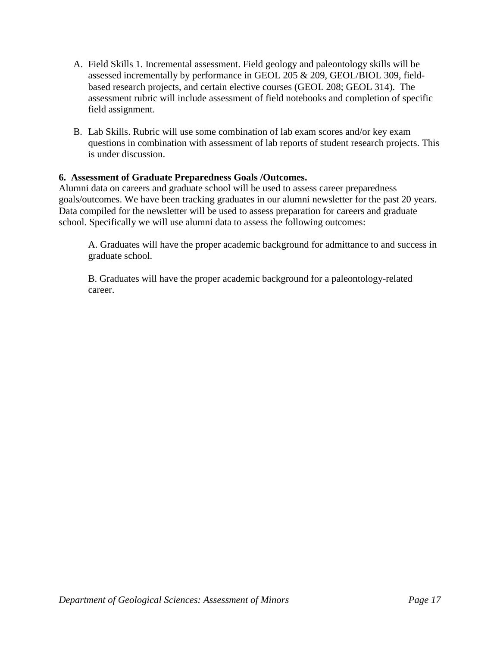- A. Field Skills 1. Incremental assessment. Field geology and paleontology skills will be assessed incrementally by performance in GEOL 205 & 209, GEOL/BIOL 309, fieldbased research projects, and certain elective courses (GEOL 208; GEOL 314). The assessment rubric will include assessment of field notebooks and completion of specific field assignment.
- B. Lab Skills. Rubric will use some combination of lab exam scores and/or key exam questions in combination with assessment of lab reports of student research projects. This is under discussion.

# **6. Assessment of Graduate Preparedness Goals /Outcomes.**

Alumni data on careers and graduate school will be used to assess career preparedness goals/outcomes. We have been tracking graduates in our alumni newsletter for the past 20 years. Data compiled for the newsletter will be used to assess preparation for careers and graduate school. Specifically we will use alumni data to assess the following outcomes:

A. Graduates will have the proper academic background for admittance to and success in graduate school.

B. Graduates will have the proper academic background for a paleontology-related career.